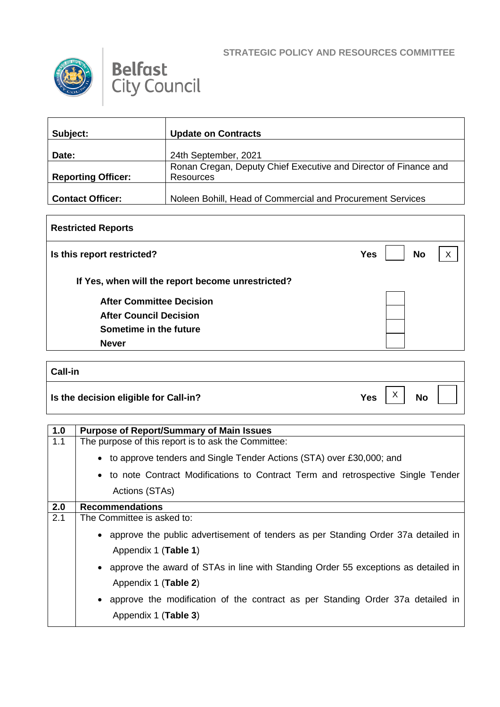┑



 $\Gamma$ 



| Subject:                  | <b>Update on Contracts</b>                                                    |
|---------------------------|-------------------------------------------------------------------------------|
| Date:                     | 24th September, 2021                                                          |
| <b>Reporting Officer:</b> | Ronan Cregan, Deputy Chief Executive and Director of Finance and<br>Resources |
| <b>Contact Officer:</b>   | Noleen Bohill, Head of Commercial and Procurement Services                    |

| <b>Restricted Reports</b>                         |                         |              |  |
|---------------------------------------------------|-------------------------|--------------|--|
| Is this report restricted?                        | <b>No</b><br><b>Yes</b> | $\checkmark$ |  |
| If Yes, when will the report become unrestricted? |                         |              |  |
| <b>After Committee Decision</b>                   |                         |              |  |
| <b>After Council Decision</b>                     |                         |              |  |
| Sometime in the future                            |                         |              |  |
| <b>Never</b>                                      |                         |              |  |

| <b>Call-in</b>                        |            |              |           |  |
|---------------------------------------|------------|--------------|-----------|--|
| Is the decision eligible for Call-in? | <b>Yes</b> | $\checkmark$ | <b>No</b> |  |

| 1.0 | <b>Purpose of Report/Summary of Main Issues</b>                                                             |
|-----|-------------------------------------------------------------------------------------------------------------|
| 1.1 | The purpose of this report is to ask the Committee:                                                         |
|     | • to approve tenders and Single Tender Actions (STA) over £30,000; and                                      |
|     | • to note Contract Modifications to Contract Term and retrospective Single Tender                           |
|     | Actions (STAs)                                                                                              |
| 2.0 | <b>Recommendations</b>                                                                                      |
| 2.1 | The Committee is asked to:                                                                                  |
|     | • approve the public advertisement of tenders as per Standing Order 37a detailed in<br>Appendix 1 (Table 1) |
|     | • approve the award of STAs in line with Standing Order 55 exceptions as detailed in                        |
|     | Appendix 1 (Table 2)                                                                                        |
|     | • approve the modification of the contract as per Standing Order 37a detailed in                            |
|     | Appendix 1 (Table 3)                                                                                        |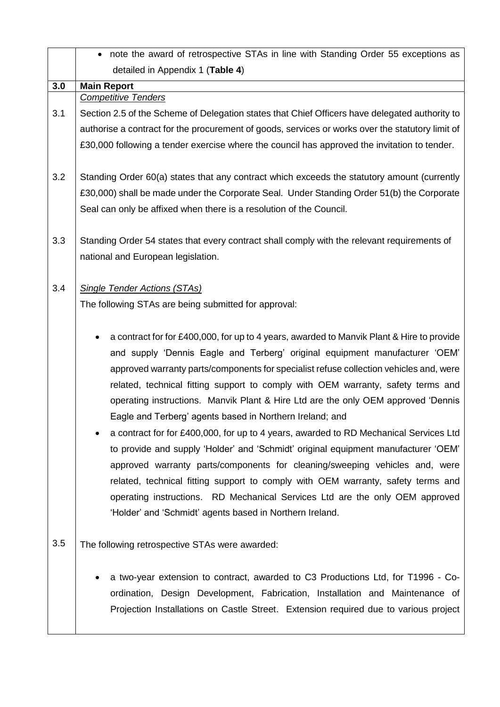|     | • note the award of retrospective STAs in line with Standing Order 55 exceptions as                                                                                                                                                                                                                                                                                                                                                                                                                                                                                                                                                                                                                                                                                                                                                                                                                                                                                                                   |
|-----|-------------------------------------------------------------------------------------------------------------------------------------------------------------------------------------------------------------------------------------------------------------------------------------------------------------------------------------------------------------------------------------------------------------------------------------------------------------------------------------------------------------------------------------------------------------------------------------------------------------------------------------------------------------------------------------------------------------------------------------------------------------------------------------------------------------------------------------------------------------------------------------------------------------------------------------------------------------------------------------------------------|
|     | detailed in Appendix 1 (Table 4)                                                                                                                                                                                                                                                                                                                                                                                                                                                                                                                                                                                                                                                                                                                                                                                                                                                                                                                                                                      |
| 3.0 | <b>Main Report</b>                                                                                                                                                                                                                                                                                                                                                                                                                                                                                                                                                                                                                                                                                                                                                                                                                                                                                                                                                                                    |
|     | <b>Competitive Tenders</b>                                                                                                                                                                                                                                                                                                                                                                                                                                                                                                                                                                                                                                                                                                                                                                                                                                                                                                                                                                            |
| 3.1 | Section 2.5 of the Scheme of Delegation states that Chief Officers have delegated authority to                                                                                                                                                                                                                                                                                                                                                                                                                                                                                                                                                                                                                                                                                                                                                                                                                                                                                                        |
|     | authorise a contract for the procurement of goods, services or works over the statutory limit of                                                                                                                                                                                                                                                                                                                                                                                                                                                                                                                                                                                                                                                                                                                                                                                                                                                                                                      |
|     | £30,000 following a tender exercise where the council has approved the invitation to tender.                                                                                                                                                                                                                                                                                                                                                                                                                                                                                                                                                                                                                                                                                                                                                                                                                                                                                                          |
| 3.2 | Standing Order 60(a) states that any contract which exceeds the statutory amount (currently                                                                                                                                                                                                                                                                                                                                                                                                                                                                                                                                                                                                                                                                                                                                                                                                                                                                                                           |
|     | £30,000) shall be made under the Corporate Seal. Under Standing Order 51(b) the Corporate                                                                                                                                                                                                                                                                                                                                                                                                                                                                                                                                                                                                                                                                                                                                                                                                                                                                                                             |
|     | Seal can only be affixed when there is a resolution of the Council.                                                                                                                                                                                                                                                                                                                                                                                                                                                                                                                                                                                                                                                                                                                                                                                                                                                                                                                                   |
| 3.3 | Standing Order 54 states that every contract shall comply with the relevant requirements of                                                                                                                                                                                                                                                                                                                                                                                                                                                                                                                                                                                                                                                                                                                                                                                                                                                                                                           |
|     | national and European legislation.                                                                                                                                                                                                                                                                                                                                                                                                                                                                                                                                                                                                                                                                                                                                                                                                                                                                                                                                                                    |
| 3.4 | <b>Single Tender Actions (STAs)</b>                                                                                                                                                                                                                                                                                                                                                                                                                                                                                                                                                                                                                                                                                                                                                                                                                                                                                                                                                                   |
|     | The following STAs are being submitted for approval:                                                                                                                                                                                                                                                                                                                                                                                                                                                                                                                                                                                                                                                                                                                                                                                                                                                                                                                                                  |
|     | a contract for for £400,000, for up to 4 years, awarded to Manvik Plant & Hire to provide<br>and supply 'Dennis Eagle and Terberg' original equipment manufacturer 'OEM'<br>approved warranty parts/components for specialist refuse collection vehicles and, were<br>related, technical fitting support to comply with OEM warranty, safety terms and<br>operating instructions. Manvik Plant & Hire Ltd are the only OEM approved 'Dennis<br>Eagle and Terberg' agents based in Northern Ireland; and<br>a contract for for £400,000, for up to 4 years, awarded to RD Mechanical Services Ltd<br>to provide and supply 'Holder' and 'Schmidt' original equipment manufacturer 'OEM'<br>approved warranty parts/components for cleaning/sweeping vehicles and, were<br>related, technical fitting support to comply with OEM warranty, safety terms and<br>operating instructions. RD Mechanical Services Ltd are the only OEM approved<br>'Holder' and 'Schmidt' agents based in Northern Ireland. |
| 3.5 | The following retrospective STAs were awarded:                                                                                                                                                                                                                                                                                                                                                                                                                                                                                                                                                                                                                                                                                                                                                                                                                                                                                                                                                        |
|     | a two-year extension to contract, awarded to C3 Productions Ltd, for T1996 - Co-<br>ordination, Design Development, Fabrication, Installation and Maintenance of<br>Projection Installations on Castle Street. Extension required due to various project                                                                                                                                                                                                                                                                                                                                                                                                                                                                                                                                                                                                                                                                                                                                              |